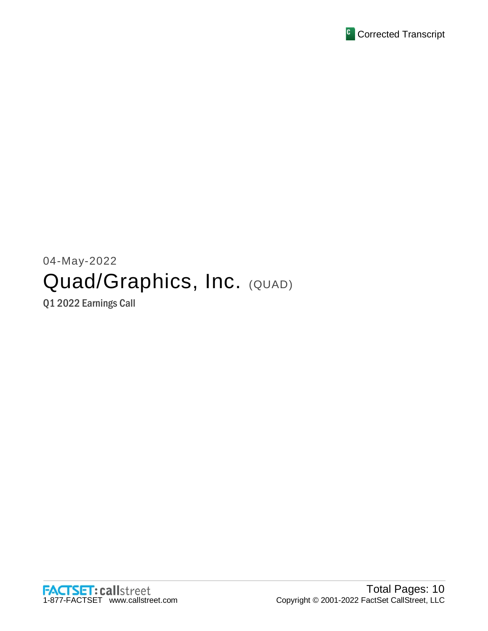

# 04-May-2022 Quad/Graphics, Inc. (QUAD)

Q1 2022 Earnings Call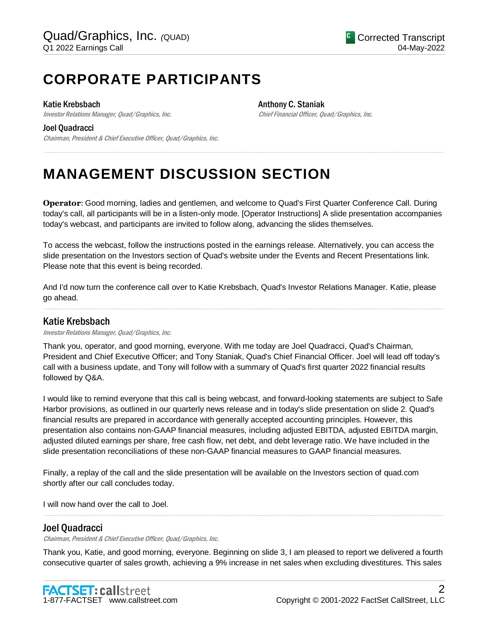## **CORPORATE PARTICIPANTS**

#### Katie Krebsbach

Investor Relations Manager, Quad/Graphics, Inc.

Anthony C. Staniak Chief Financial Officer, Quad/Graphics, Inc.

#### Joel Quadracci

Chairman, President & Chief Executive Officer, Quad/Graphics, Inc.

## **MANAGEMENT DISCUSSION SECTION**

**Operator**: Good morning, ladies and gentlemen, and welcome to Quad's First Quarter Conference Call. During today's call, all participants will be in a listen-only mode. [Operator Instructions] A slide presentation accompanies today's webcast, and participants are invited to follow along, advancing the slides themselves.

.....................................................................................................................................................................................................................................................................

To access the webcast, follow the instructions posted in the earnings release. Alternatively, you can access the slide presentation on the Investors section of Quad's website under the Events and Recent Presentations link. Please note that this event is being recorded.

And I'd now turn the conference call over to Katie Krebsbach, Quad's Investor Relations Manager. Katie, please go ahead.

.....................................................................................................................................................................................................................................................................

## Katie Krebsbach

Investor Relations Manager, Quad/Graphics, Inc.

Thank you, operator, and good morning, everyone. With me today are Joel Quadracci, Quad's Chairman, President and Chief Executive Officer; and Tony Staniak, Quad's Chief Financial Officer. Joel will lead off today's call with a business update, and Tony will follow with a summary of Quad's first quarter 2022 financial results followed by Q&A.

I would like to remind everyone that this call is being webcast, and forward-looking statements are subject to Safe Harbor provisions, as outlined in our quarterly news release and in today's slide presentation on slide 2. Quad's financial results are prepared in accordance with generally accepted accounting principles. However, this presentation also contains non-GAAP financial measures, including adjusted EBITDA, adjusted EBITDA margin, adjusted diluted earnings per share, free cash flow, net debt, and debt leverage ratio. We have included in the slide presentation reconciliations of these non-GAAP financial measures to GAAP financial measures.

Finally, a replay of the call and the slide presentation will be available on the Investors section of quad.com shortly after our call concludes today.

I will now hand over the call to Joel.

## Joel Quadracci

Chairman, President & Chief Executive Officer, Quad/Graphics, Inc.

Thank you, Katie, and good morning, everyone. Beginning on slide 3, I am pleased to report we delivered a fourth consecutive quarter of sales growth, achieving a 9% increase in net sales when excluding divestitures. This sales

.....................................................................................................................................................................................................................................................................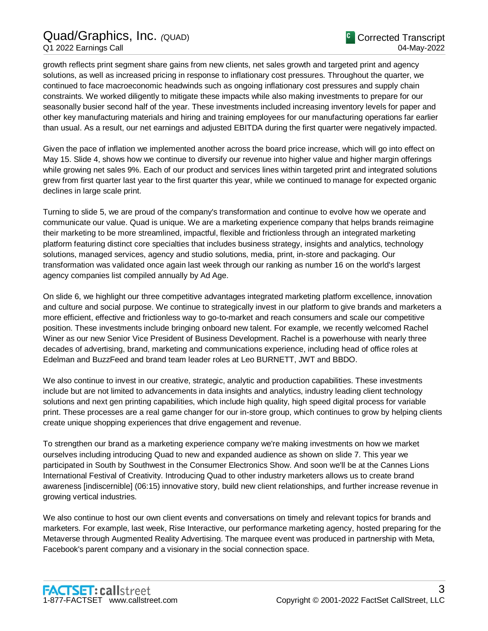## Quad/Graphics, Inc. *(*QUAD) Q1 2022 Earnings Call

growth reflects print segment share gains from new clients, net sales growth and targeted print and agency solutions, as well as increased pricing in response to inflationary cost pressures. Throughout the quarter, we continued to face macroeconomic headwinds such as ongoing inflationary cost pressures and supply chain constraints. We worked diligently to mitigate these impacts while also making investments to prepare for our seasonally busier second half of the year. These investments included increasing inventory levels for paper and other key manufacturing materials and hiring and training employees for our manufacturing operations far earlier than usual. As a result, our net earnings and adjusted EBITDA during the first quarter were negatively impacted.

Given the pace of inflation we implemented another across the board price increase, which will go into effect on May 15. Slide 4, shows how we continue to diversify our revenue into higher value and higher margin offerings while growing net sales 9%. Each of our product and services lines within targeted print and integrated solutions grew from first quarter last year to the first quarter this year, while we continued to manage for expected organic declines in large scale print.

Turning to slide 5, we are proud of the company's transformation and continue to evolve how we operate and communicate our value. Quad is unique. We are a marketing experience company that helps brands reimagine their marketing to be more streamlined, impactful, flexible and frictionless through an integrated marketing platform featuring distinct core specialties that includes business strategy, insights and analytics, technology solutions, managed services, agency and studio solutions, media, print, in-store and packaging. Our transformation was validated once again last week through our ranking as number 16 on the world's largest agency companies list compiled annually by Ad Age.

On slide 6, we highlight our three competitive advantages integrated marketing platform excellence, innovation and culture and social purpose. We continue to strategically invest in our platform to give brands and marketers a more efficient, effective and frictionless way to go-to-market and reach consumers and scale our competitive position. These investments include bringing onboard new talent. For example, we recently welcomed Rachel Winer as our new Senior Vice President of Business Development. Rachel is a powerhouse with nearly three decades of advertising, brand, marketing and communications experience, including head of office roles at Edelman and BuzzFeed and brand team leader roles at Leo BURNETT, JWT and BBDO.

We also continue to invest in our creative, strategic, analytic and production capabilities. These investments include but are not limited to advancements in data insights and analytics, industry leading client technology solutions and next gen printing capabilities, which include high quality, high speed digital process for variable print. These processes are a real game changer for our in-store group, which continues to grow by helping clients create unique shopping experiences that drive engagement and revenue.

To strengthen our brand as a marketing experience company we're making investments on how we market ourselves including introducing Quad to new and expanded audience as shown on slide 7. This year we participated in South by Southwest in the Consumer Electronics Show. And soon we'll be at the Cannes Lions International Festival of Creativity. Introducing Quad to other industry marketers allows us to create brand awareness [indiscernible] (06:15) innovative story, build new client relationships, and further increase revenue in growing vertical industries.

We also continue to host our own client events and conversations on timely and relevant topics for brands and marketers. For example, last week, Rise Interactive, our performance marketing agency, hosted preparing for the Metaverse through Augmented Reality Advertising. The marquee event was produced in partnership with Meta, Facebook's parent company and a visionary in the social connection space.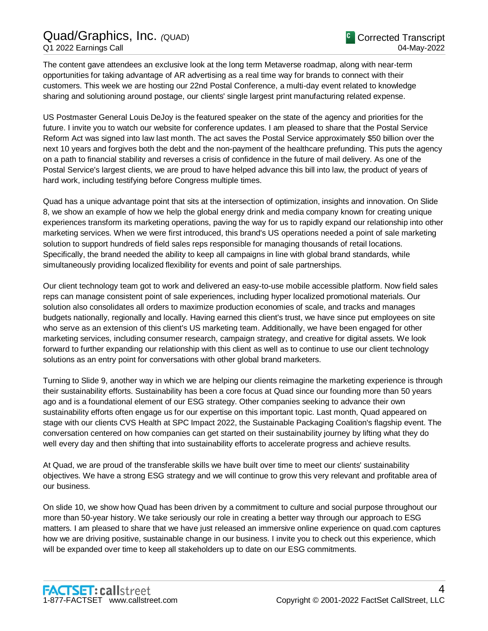The content gave attendees an exclusive look at the long term Metaverse roadmap, along with near-term opportunities for taking advantage of AR advertising as a real time way for brands to connect with their customers. This week we are hosting our 22nd Postal Conference, a multi-day event related to knowledge sharing and solutioning around postage, our clients' single largest print manufacturing related expense.

US Postmaster General Louis DeJoy is the featured speaker on the state of the agency and priorities for the future. I invite you to watch our website for conference updates. I am pleased to share that the Postal Service Reform Act was signed into law last month. The act saves the Postal Service approximately \$50 billion over the next 10 years and forgives both the debt and the non-payment of the healthcare prefunding. This puts the agency on a path to financial stability and reverses a crisis of confidence in the future of mail delivery. As one of the Postal Service's largest clients, we are proud to have helped advance this bill into law, the product of years of hard work, including testifying before Congress multiple times.

Quad has a unique advantage point that sits at the intersection of optimization, insights and innovation. On Slide 8, we show an example of how we help the global energy drink and media company known for creating unique experiences transform its marketing operations, paving the way for us to rapidly expand our relationship into other marketing services. When we were first introduced, this brand's US operations needed a point of sale marketing solution to support hundreds of field sales reps responsible for managing thousands of retail locations. Specifically, the brand needed the ability to keep all campaigns in line with global brand standards, while simultaneously providing localized flexibility for events and point of sale partnerships.

Our client technology team got to work and delivered an easy-to-use mobile accessible platform. Now field sales reps can manage consistent point of sale experiences, including hyper localized promotional materials. Our solution also consolidates all orders to maximize production economies of scale, and tracks and manages budgets nationally, regionally and locally. Having earned this client's trust, we have since put employees on site who serve as an extension of this client's US marketing team. Additionally, we have been engaged for other marketing services, including consumer research, campaign strategy, and creative for digital assets. We look forward to further expanding our relationship with this client as well as to continue to use our client technology solutions as an entry point for conversations with other global brand marketers.

Turning to Slide 9, another way in which we are helping our clients reimagine the marketing experience is through their sustainability efforts. Sustainability has been a core focus at Quad since our founding more than 50 years ago and is a foundational element of our ESG strategy. Other companies seeking to advance their own sustainability efforts often engage us for our expertise on this important topic. Last month, Quad appeared on stage with our clients CVS Health at SPC Impact 2022, the Sustainable Packaging Coalition's flagship event. The conversation centered on how companies can get started on their sustainability journey by lifting what they do well every day and then shifting that into sustainability efforts to accelerate progress and achieve results.

At Quad, we are proud of the transferable skills we have built over time to meet our clients' sustainability objectives. We have a strong ESG strategy and we will continue to grow this very relevant and profitable area of our business.

On slide 10, we show how Quad has been driven by a commitment to culture and social purpose throughout our more than 50-year history. We take seriously our role in creating a better way through our approach to ESG matters. I am pleased to share that we have just released an immersive online experience on quad.com captures how we are driving positive, sustainable change in our business. I invite you to check out this experience, which will be expanded over time to keep all stakeholders up to date on our ESG commitments.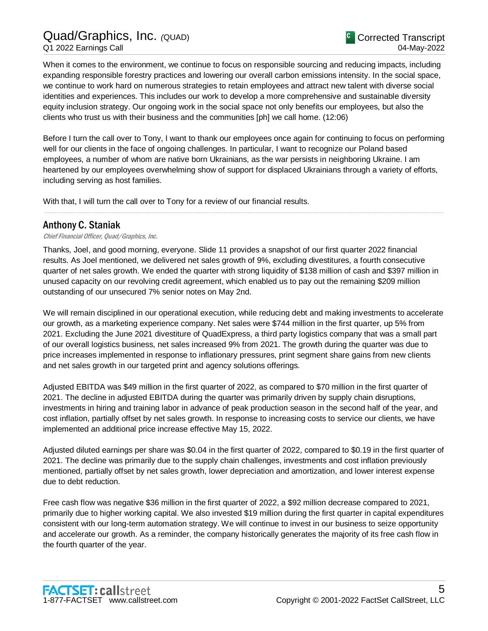When it comes to the environment, we continue to focus on responsible sourcing and reducing impacts, including expanding responsible forestry practices and lowering our overall carbon emissions intensity. In the social space, we continue to work hard on numerous strategies to retain employees and attract new talent with diverse social identities and experiences. This includes our work to develop a more comprehensive and sustainable diversity equity inclusion strategy. Our ongoing work in the social space not only benefits our employees, but also the clients who trust us with their business and the communities [ph] we call home. (12:06)

Before I turn the call over to Tony, I want to thank our employees once again for continuing to focus on performing well for our clients in the face of ongoing challenges. In particular, I want to recognize our Poland based employees, a number of whom are native born Ukrainians, as the war persists in neighboring Ukraine. I am heartened by our employees overwhelming show of support for displaced Ukrainians through a variety of efforts, including serving as host families.

.....................................................................................................................................................................................................................................................................

With that, I will turn the call over to Tony for a review of our financial results.

### Anthony C. Staniak

Chief Financial Officer, Quad/Graphics, Inc.

Thanks, Joel, and good morning, everyone. Slide 11 provides a snapshot of our first quarter 2022 financial results. As Joel mentioned, we delivered net sales growth of 9%, excluding divestitures, a fourth consecutive quarter of net sales growth. We ended the quarter with strong liquidity of \$138 million of cash and \$397 million in unused capacity on our revolving credit agreement, which enabled us to pay out the remaining \$209 million outstanding of our unsecured 7% senior notes on May 2nd.

We will remain disciplined in our operational execution, while reducing debt and making investments to accelerate our growth, as a marketing experience company. Net sales were \$744 million in the first quarter, up 5% from 2021. Excluding the June 2021 divestiture of QuadExpress, a third party logistics company that was a small part of our overall logistics business, net sales increased 9% from 2021. The growth during the quarter was due to price increases implemented in response to inflationary pressures, print segment share gains from new clients and net sales growth in our targeted print and agency solutions offerings.

Adjusted EBITDA was \$49 million in the first quarter of 2022, as compared to \$70 million in the first quarter of 2021. The decline in adjusted EBITDA during the quarter was primarily driven by supply chain disruptions, investments in hiring and training labor in advance of peak production season in the second half of the year, and cost inflation, partially offset by net sales growth. In response to increasing costs to service our clients, we have implemented an additional price increase effective May 15, 2022.

Adjusted diluted earnings per share was \$0.04 in the first quarter of 2022, compared to \$0.19 in the first quarter of 2021. The decline was primarily due to the supply chain challenges, investments and cost inflation previously mentioned, partially offset by net sales growth, lower depreciation and amortization, and lower interest expense due to debt reduction.

Free cash flow was negative \$36 million in the first quarter of 2022, a \$92 million decrease compared to 2021, primarily due to higher working capital. We also invested \$19 million during the first quarter in capital expenditures consistent with our long-term automation strategy. We will continue to invest in our business to seize opportunity and accelerate our growth. As a reminder, the company historically generates the majority of its free cash flow in the fourth quarter of the year.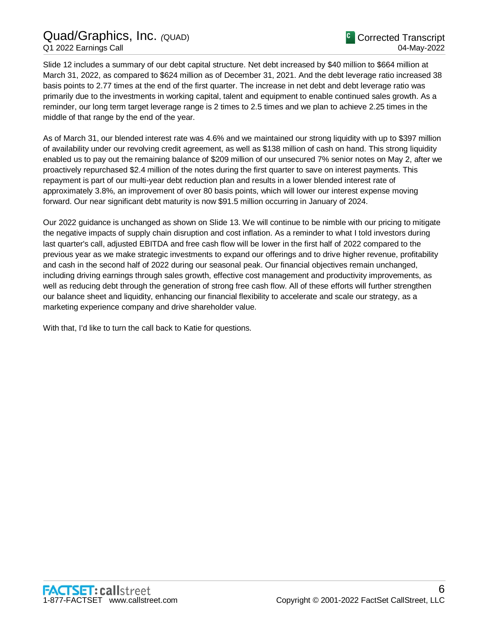## Quad/Graphics, Inc. *(*QUAD) Q1 2022 Earnings Call

Slide 12 includes a summary of our debt capital structure. Net debt increased by \$40 million to \$664 million at March 31, 2022, as compared to \$624 million as of December 31, 2021. And the debt leverage ratio increased 38 basis points to 2.77 times at the end of the first quarter. The increase in net debt and debt leverage ratio was primarily due to the investments in working capital, talent and equipment to enable continued sales growth. As a reminder, our long term target leverage range is 2 times to 2.5 times and we plan to achieve 2.25 times in the middle of that range by the end of the year.

As of March 31, our blended interest rate was 4.6% and we maintained our strong liquidity with up to \$397 million of availability under our revolving credit agreement, as well as \$138 million of cash on hand. This strong liquidity enabled us to pay out the remaining balance of \$209 million of our unsecured 7% senior notes on May 2, after we proactively repurchased \$2.4 million of the notes during the first quarter to save on interest payments. This repayment is part of our multi-year debt reduction plan and results in a lower blended interest rate of approximately 3.8%, an improvement of over 80 basis points, which will lower our interest expense moving forward. Our near significant debt maturity is now \$91.5 million occurring in January of 2024.

Our 2022 guidance is unchanged as shown on Slide 13. We will continue to be nimble with our pricing to mitigate the negative impacts of supply chain disruption and cost inflation. As a reminder to what I told investors during last quarter's call, adjusted EBITDA and free cash flow will be lower in the first half of 2022 compared to the previous year as we make strategic investments to expand our offerings and to drive higher revenue, profitability and cash in the second half of 2022 during our seasonal peak. Our financial objectives remain unchanged, including driving earnings through sales growth, effective cost management and productivity improvements, as well as reducing debt through the generation of strong free cash flow. All of these efforts will further strengthen our balance sheet and liquidity, enhancing our financial flexibility to accelerate and scale our strategy, as a marketing experience company and drive shareholder value.

With that, I'd like to turn the call back to Katie for questions.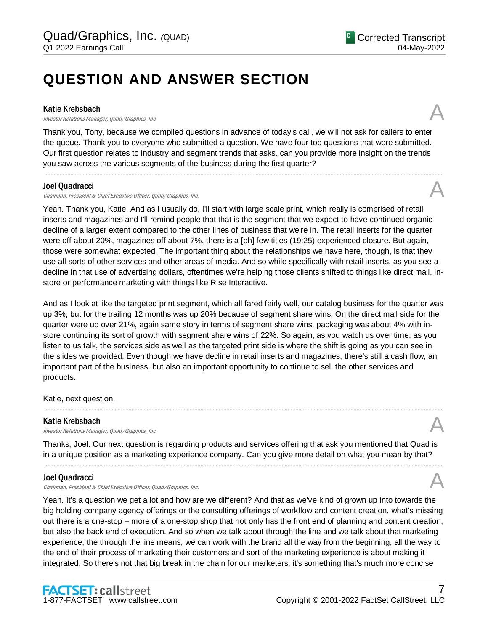## **QUESTION AND ANSWER SECTION**

#### Katie Krebsbach

**Katie Krebsbach**<br>Investor Relations Manager, Quad/Graphics, Inc.  $\mathcal{A}$ 

Thank you, Tony, because we compiled questions in advance of today's call, we will not ask for callers to enter the queue. Thank you to everyone who submitted a question. We have four top questions that were submitted. Our first question relates to industry and segment trends that asks, can you provide more insight on the trends you saw across the various segments of the business during the first quarter?

.....................................................................................................................................................................................................................................................................

#### Joel Quadracci

Chairman, President & Chief Executive Officer, Quad/Graphics, Inc.

Yeah. Thank you, Katie. And as I usually do, I'll start with large scale print, which really is comprised of retail inserts and magazines and I'll remind people that that is the segment that we expect to have continued organic decline of a larger extent compared to the other lines of business that we're in. The retail inserts for the quarter were off about 20%, magazines off about 7%, there is a [ph] few titles (19:25) experienced closure. But again, those were somewhat expected. The important thing about the relationships we have here, though, is that they use all sorts of other services and other areas of media. And so while specifically with retail inserts, as you see a decline in that use of advertising dollars, oftentimes we're helping those clients shifted to things like direct mail, instore or performance marketing with things like Rise Interactive.

And as I look at like the targeted print segment, which all fared fairly well, our catalog business for the quarter was up 3%, but for the trailing 12 months was up 20% because of segment share wins. On the direct mail side for the quarter were up over 21%, again same story in terms of segment share wins, packaging was about 4% with instore continuing its sort of growth with segment share wins of 22%. So again, as you watch us over time, as you listen to us talk, the services side as well as the targeted print side is where the shift is going as you can see in the slides we provided. Even though we have decline in retail inserts and magazines, there's still a cash flow, an important part of the business, but also an important opportunity to continue to sell the other services and products.

Katie, next question.

#### Katie Krebsbach

**Katie Krebsbach**<br>Investor Relations Manager, Quad/Graphics, Inc.  $\mathcal{A}$ 

Thanks, Joel. Our next question is regarding products and services offering that ask you mentioned that Quad is in a unique position as a marketing experience company. Can you give more detail on what you mean by that?

.....................................................................................................................................................................................................................................................................

.....................................................................................................................................................................................................................................................................

#### Joel Quadracci

Chairman, President & Chief Executive Officer, Quad/Graphics, Inc.

Yeah. It's a question we get a lot and how are we different? And that as we've kind of grown up into towards the big holding company agency offerings or the consulting offerings of workflow and content creation, what's missing out there is a one-stop – more of a one-stop shop that not only has the front end of planning and content creation, but also the back end of execution. And so when we talk about through the line and we talk about that marketing experience, the through the line means, we can work with the brand all the way from the beginning, all the way to the end of their process of marketing their customers and sort of the marketing experience is about making it integrated. So there's not that big break in the chain for our marketers, it's something that's much more concise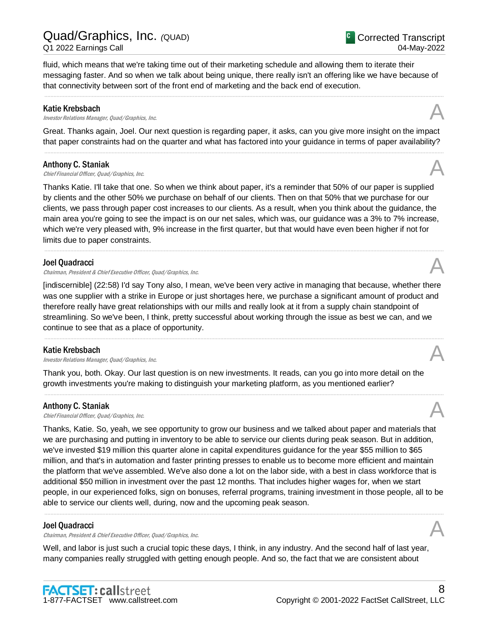fluid, which means that we're taking time out of their marketing schedule and allowing them to iterate their messaging faster. And so when we talk about being unique, there really isn't an offering like we have because of that connectivity between sort of the front end of marketing and the back end of execution.

.....................................................................................................................................................................................................................................................................

#### Katie Krebsbach

**Katie Krebsbach**<br>Investor Relations Manager, Quad/Graphics, Inc.  $\mathcal{A}$ 

Great. Thanks again, Joel. Our next question is regarding paper, it asks, can you give more insight on the impact that paper constraints had on the quarter and what has factored into your guidance in terms of paper availability? .....................................................................................................................................................................................................................................................................

#### Anthony C. Staniak

**Anthony C. Staniak**<br>Chief Financial Officer, Quad/Graphics, Inc.  $\mathcal{A}$ 

Thanks Katie. I'll take that one. So when we think about paper, it's a reminder that 50% of our paper is supplied by clients and the other 50% we purchase on behalf of our clients. Then on that 50% that we purchase for our clients, we pass through paper cost increases to our clients. As a result, when you think about the guidance, the main area you're going to see the impact is on our net sales, which was, our guidance was a 3% to 7% increase, which we're very pleased with, 9% increase in the first quarter, but that would have even been higher if not for limits due to paper constraints.

.....................................................................................................................................................................................................................................................................

#### Joel Quadracci

Chairman, President & Chief Executive Officer, Quad/Graphics, Inc.

[indiscernible] (22:58) I'd say Tony also, I mean, we've been very active in managing that because, whether there was one supplier with a strike in Europe or just shortages here, we purchase a significant amount of product and therefore really have great relationships with our mills and really look at it from a supply chain standpoint of streamlining. So we've been, I think, pretty successful about working through the issue as best we can, and we continue to see that as a place of opportunity.

.....................................................................................................................................................................................................................................................................

.....................................................................................................................................................................................................................................................................

#### Katie Krebsbach

**Katie Krebsbach**<br>Investor Relations Manager, Quad/Graphics, Inc. **Analysis of the Contract Oracle Contract Contract Contract Cont** 

Thank you, both. Okay. Our last question is on new investments. It reads, can you go into more detail on the growth investments you're making to distinguish your marketing platform, as you mentioned earlier?

#### Anthony C. Staniak

**Anthony C. Staniak**<br>Chief Financial Officer, Quad/Graphics, Inc.  $\mathcal{A}$ 

Thanks, Katie. So, yeah, we see opportunity to grow our business and we talked about paper and materials that we are purchasing and putting in inventory to be able to service our clients during peak season. But in addition, we've invested \$19 million this quarter alone in capital expenditures guidance for the year \$55 million to \$65 million, and that's in automation and faster printing presses to enable us to become more efficient and maintain the platform that we've assembled. We've also done a lot on the labor side, with a best in class workforce that is additional \$50 million in investment over the past 12 months. That includes higher wages for, when we start people, in our experienced folks, sign on bonuses, referral programs, training investment in those people, all to be able to service our clients well, during, now and the upcoming peak season.

.....................................................................................................................................................................................................................................................................

#### Joel Quadracci

Chairman, President & Chief Executive Officer, Quad/Graphics, Inc.

Well, and labor is just such a crucial topic these days, I think, in any industry. And the second half of last year, many companies really struggled with getting enough people. And so, the fact that we are consistent about









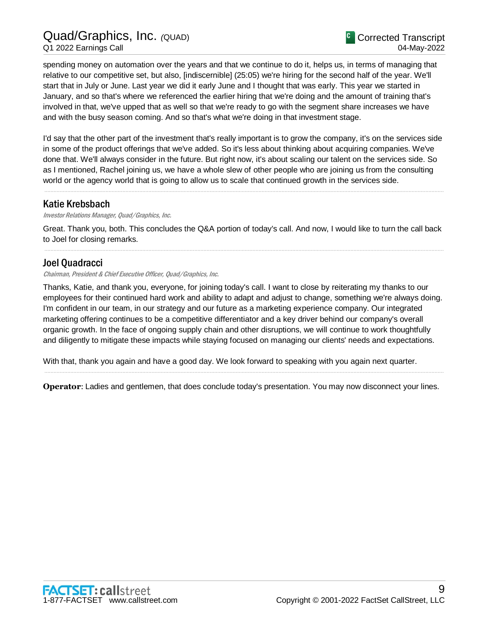Quad/Graphics, Inc. *(*QUAD) Q1 2022 Earnings Call

spending money on automation over the years and that we continue to do it, helps us, in terms of managing that relative to our competitive set, but also, [indiscernible] (25:05) we're hiring for the second half of the year. We'll start that in July or June. Last year we did it early June and I thought that was early. This year we started in January, and so that's where we referenced the earlier hiring that we're doing and the amount of training that's involved in that, we've upped that as well so that we're ready to go with the segment share increases we have and with the busy season coming. And so that's what we're doing in that investment stage.

I'd say that the other part of the investment that's really important is to grow the company, it's on the services side in some of the product offerings that we've added. So it's less about thinking about acquiring companies. We've done that. We'll always consider in the future. But right now, it's about scaling our talent on the services side. So as I mentioned, Rachel joining us, we have a whole slew of other people who are joining us from the consulting world or the agency world that is going to allow us to scale that continued growth in the services side.

.....................................................................................................................................................................................................................................................................

## Katie Krebsbach

#### Investor Relations Manager, Quad/Graphics, Inc.

Great. Thank you, both. This concludes the Q&A portion of today's call. And now, I would like to turn the call back to Joel for closing remarks. .....................................................................................................................................................................................................................................................................

### Joel Quadracci

#### Chairman, President & Chief Executive Officer, Quad/Graphics, Inc.

Thanks, Katie, and thank you, everyone, for joining today's call. I want to close by reiterating my thanks to our employees for their continued hard work and ability to adapt and adjust to change, something we're always doing. I'm confident in our team, in our strategy and our future as a marketing experience company. Our integrated marketing offering continues to be a competitive differentiator and a key driver behind our company's overall organic growth. In the face of ongoing supply chain and other disruptions, we will continue to work thoughtfully and diligently to mitigate these impacts while staying focused on managing our clients' needs and expectations.

With that, thank you again and have a good day. We look forward to speaking with you again next quarter.

**Operator**: Ladies and gentlemen, that does conclude today's presentation. You may now disconnect your lines.

.....................................................................................................................................................................................................................................................................